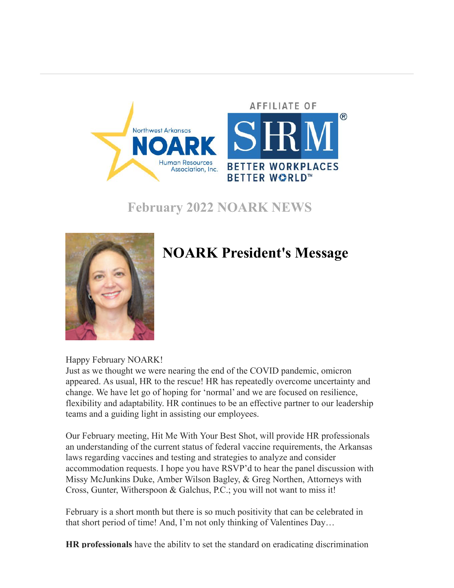

**February 2022 NOARK NEWS**



## **NOARK President's Message**

Happy February NOARK!

Just as we thought we were nearing the end of the COVID pandemic, omicron appeared. As usual, HR to the rescue! HR has repeatedly overcome uncertainty and change. We have let go of hoping for 'normal' and we are focused on resilience, flexibility and adaptability. HR continues to be an effective partner to our leadership teams and a guiding light in assisting our employees.

Our February meeting, Hit Me With Your Best Shot, will provide HR professionals an understanding of the current status of federal vaccine requirements, the Arkansas laws regarding vaccines and testing and strategies to analyze and consider accommodation requests. I hope you have RSVP'd to hear the panel discussion with Missy McJunkins Duke, Amber Wilson Bagley, & Greg Northen, Attorneys with Cross, Gunter, Witherspoon & Galchus, P.C.; you will not want to miss it!

February is a short month but there is so much positivity that can be celebrated in that short period of time! And, I'm not only thinking of Valentines Day…

**[HR professionals](https://r20.rs6.net/tn.jsp?f=001I8r9bO46ReEbo0Qp8-psYZ580BACgc9lZgJXa2SDHZyrP7m5Cm3ZtltXPENcDP4D03gFn9BIVcLg3dh9-GFzQh4vet8jM9-8JMpZwQrLTHcziAaYA3WCLuJgGQiQ95t4XfAv3m9iTOjv2YZ_3jmA8Rq3byUL-3DAP8zQ5CsMRxTaKxFrDd-G5iscPjkm3QZ_CNPeoLty5fHeXWV5g2WfSQ==&c=nRvT-4SuHyGK-v-OxRbxQSf0Dvj5umdOdjqouvUcat__VV_f9hGm_g==&ch=UV1MYkDJk3e_fAApVcXr7LC-47YD-aTpoPuK3DpKEjdYNSdqOiiLqg==)** have the ability to set the standard on eradicating discrimination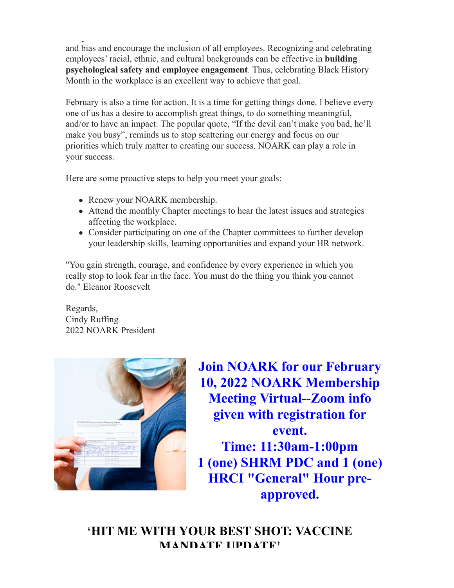**[HR professionals](https://r20.rs6.net/tn.jsp?f=001I8r9bO46ReEbo0Qp8-psYZ580BACgc9lZgJXa2SDHZyrP7m5Cm3ZtltXPENcDP4D03gFn9BIVcLg3dh9-GFzQh4vet8jM9-8JMpZwQrLTHcziAaYA3WCLuJgGQiQ95t4XfAv3m9iTOjv2YZ_3jmA8Rq3byUL-3DAP8zQ5CsMRxTaKxFrDd-G5iscPjkm3QZ_CNPeoLty5fHeXWV5g2WfSQ==&c=nRvT-4SuHyGK-v-OxRbxQSf0Dvj5umdOdjqouvUcat__VV_f9hGm_g==&ch=UV1MYkDJk3e_fAApVcXr7LC-47YD-aTpoPuK3DpKEjdYNSdqOiiLqg==)** have the ability to set the standard on eradicating discrimination and bias and encourage the inclusion of all employees. Recognizing and celebrating [employees' racial, ethnic, and cultural backgrounds can be effective in](https://r20.rs6.net/tn.jsp?f=001I8r9bO46ReEbo0Qp8-psYZ580BACgc9lZgJXa2SDHZyrP7m5Cm3ZtltXPENcDP4DXrwk9BWMMoZhCtCsJDhKEe1AGuLp4F9SYHKanr5jVfngpmUNow_m4_tzA9zKiY_g5E4GvdTJoaWZmDEVbCJ0KAC4NLQe5bIyXyu14-FIpXe2GQcDBquT1-LAbPjJzNh_D836DYzHXUg=&c=nRvT-4SuHyGK-v-OxRbxQSf0Dvj5umdOdjqouvUcat__VV_f9hGm_g==&ch=UV1MYkDJk3e_fAApVcXr7LC-47YD-aTpoPuK3DpKEjdYNSdqOiiLqg==) **building psychological safety and employee engagement**. Thus, celebrating Black History Month in the workplace is an excellent way to achieve that goal.

February is also a time for action. It is a time for getting things done. I believe every one of us has a desire to accomplish great things, to do something meaningful, and/or to have an impact. The popular quote, "If the devil can't make you bad, he'll make you busy", reminds us to stop scattering our energy and focus on our priorities which truly matter to creating our success. NOARK can play a role in your success.

Here are some proactive steps to help you meet your goals:

- Renew your NOARK membership.
- Attend the monthly Chapter meetings to hear the latest issues and strategies affecting the workplace.
- Consider participating on one of the Chapter committees to further develop your leadership skills, learning opportunities and expand your HR network.

"You gain strength, courage, and confidence by every experience in which you really stop to look fear in the face. You must do the thing you think you cannot do." Eleanor Roosevelt

Regards, Cindy Ruffing 2022 NOARK President



**Join NOARK for our February 10, 2022 NOARK Membership Meeting Virtual--Zoom info given with registration for event. Time: 11:30am-1:00pm 1 (one) SHRM PDC and 1 (one) HRCI "General" Hour preapproved.**

**'HIT ME WITH YOUR BEST SHOT: VACCINE MANDATE UPDATE'**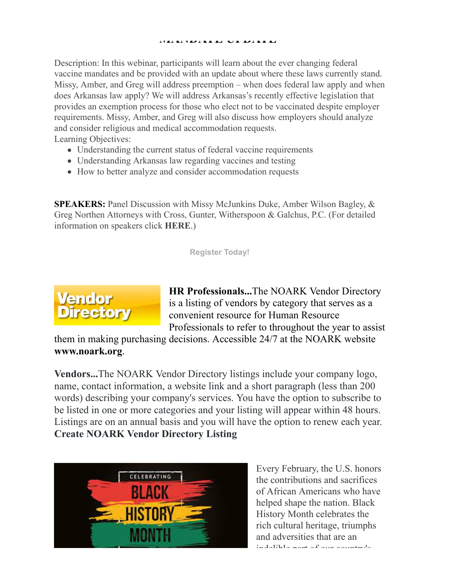#### **MANDATE UPDATE'**

Description: In this webinar, participants will learn about the ever changing federal vaccine mandates and be provided with an update about where these laws currently stand. Missy, Amber, and Greg will address preemption – when does federal law apply and when does Arkansas law apply? We will address Arkansas's recently effective legislation that provides an exemption process for those who elect not to be vaccinated despite employer requirements. Missy, Amber, and Greg will also discuss how employers should analyze and consider religious and medical accommodation requests. Learning Objectives:

- Understanding the current status of federal vaccine requirements
- Understanding Arkansas law regarding vaccines and testing
- How to better analyze and consider accommodation requests

**SPEAKERS:** Panel Discussion with Missy McJunkins Duke, Amber Wilson Bagley, & Greg Northen Attorneys with Cross, Gunter, Witherspoon & Galchus, P.C. (For detailed information on speakers click **[HERE](https://r20.rs6.net/tn.jsp?f=001I8r9bO46ReEbo0Qp8-psYZ580BACgc9lZgJXa2SDHZyrP7m5Cm3ZtltXPENcDP4DhXGnj7LZb50aJcw5gaNsQzMnOJz_irsDnTColltK6EZ7OtAfUQJ7SJssIpRJe6qThohMcxI-l4eZGlEiJxmfktkB7_ANPrKX08WjdxECsSOTWPeGV_8ytcyv9zDYhPecUxUvl21nWsO_YpxDGGmnDWPukdLNrt21YPFZ2LPuuEI=&c=nRvT-4SuHyGK-v-OxRbxQSf0Dvj5umdOdjqouvUcat__VV_f9hGm_g==&ch=UV1MYkDJk3e_fAApVcXr7LC-47YD-aTpoPuK3DpKEjdYNSdqOiiLqg==)**.)

**[Register Today!](https://r20.rs6.net/tn.jsp?f=001I8r9bO46ReEbo0Qp8-psYZ580BACgc9lZgJXa2SDHZyrP7m5Cm3ZtltXPENcDP4DhXGnj7LZb50aJcw5gaNsQzMnOJz_irsDnTColltK6EZ7OtAfUQJ7SJssIpRJe6qThohMcxI-l4eZGlEiJxmfktkB7_ANPrKX08WjdxECsSOTWPeGV_8ytcyv9zDYhPecUxUvl21nWsO_YpxDGGmnDWPukdLNrt21YPFZ2LPuuEI=&c=nRvT-4SuHyGK-v-OxRbxQSf0Dvj5umdOdjqouvUcat__VV_f9hGm_g==&ch=UV1MYkDJk3e_fAApVcXr7LC-47YD-aTpoPuK3DpKEjdYNSdqOiiLqg==)**



**HR Professionals...**The NOARK Vendor Directory is a listing of vendors by category that serves as a convenient resource for Human Resource Professionals to refer to throughout the year to assist

them in making purchasing decisions. Accessible 24/7 at the NOARK website **[www.noark.org](https://r20.rs6.net/tn.jsp?f=001I8r9bO46ReEbo0Qp8-psYZ580BACgc9lZgJXa2SDHZyrP7m5Cm3Ztqc_JEr6mAwCgE8AjxbhmbtGDvdctLkQV8mw-V8qO1E4sPFgHZxmqyDAnE0X73Bzu8Gq5MlR64z4t9pUAjXtc5Ge8lg9m1t_TWs-JBMIFE6x7i_oPl1wUL9nLPkv4jY9y3T2ZBGyawVb&c=nRvT-4SuHyGK-v-OxRbxQSf0Dvj5umdOdjqouvUcat__VV_f9hGm_g==&ch=UV1MYkDJk3e_fAApVcXr7LC-47YD-aTpoPuK3DpKEjdYNSdqOiiLqg==)**.

**Vendors...**The NOARK Vendor Directory listings include your company logo, name, contact information, a website link and a short paragraph (less than 200 words) describing your company's services. You have the option to subscribe to be listed in one or more categories and your listing will appear within 48 hours. Listings are on an annual basis and you will have the option to renew each year. **[Create NOARK Vendor Directory Listing](https://r20.rs6.net/tn.jsp?f=001I8r9bO46ReEbo0Qp8-psYZ580BACgc9lZgJXa2SDHZyrP7m5Cm3ZtltXPENcDP4DKXJtZhEM6xfSaF4jVuAWW745YTITY5AHtWDsyY-msq4jMjyhl-52wEIlJK-4YeBhPojUzRbVTlCNR7Ujhi5dMBrROzWF1kazw4h4489CHCS3p3WJ563loQ==&c=nRvT-4SuHyGK-v-OxRbxQSf0Dvj5umdOdjqouvUcat__VV_f9hGm_g==&ch=UV1MYkDJk3e_fAApVcXr7LC-47YD-aTpoPuK3DpKEjdYNSdqOiiLqg==)**



Every February, the U.S. honors the contributions and sacrifices of African Americans who have helped shape the nation. Black History Month celebrates the rich cultural heritage, triumphs and adversities that are an indelible part of our country's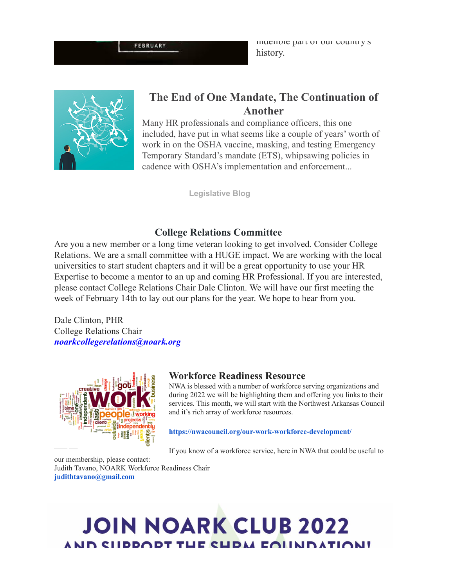**FEBRUARY** 

indelible part of our country's history.



### **The End of One Mandate, The Continuation of Another**

Many HR professionals and compliance officers, this one included, have put in what seems like a couple of years' worth of work in on the OSHA vaccine, masking, and testing Emergency Temporary Standard's mandate (ETS), whipsawing policies in cadence with OSHA's implementation and enforcement...

**[Legislative Blog](https://r20.rs6.net/tn.jsp?f=001I8r9bO46ReEbo0Qp8-psYZ580BACgc9lZgJXa2SDHZyrP7m5Cm3ZtpOhKeLT39UpbIQrPtugN9JTeILRbabkai83LJkFt2CK0fqo_WO7Z7nJUeSBvKJRRYbCdA9c2mdC2gJVVLHnkKfX1FlTommmhCwwMADmKG-OsPrGPLUry0k=&c=nRvT-4SuHyGK-v-OxRbxQSf0Dvj5umdOdjqouvUcat__VV_f9hGm_g==&ch=UV1MYkDJk3e_fAApVcXr7LC-47YD-aTpoPuK3DpKEjdYNSdqOiiLqg==)**

### **College Relations Committee**

Are you a new member or a long time veteran looking to get involved. Consider College Relations. We are a small committee with a HUGE impact. We are working with the local universities to start student chapters and it will be a great opportunity to use your HR Expertise to become a mentor to an up and coming HR Professional. If you are interested, please contact College Relations Chair Dale Clinton. We will have our first meeting the week of February 14th to lay out our plans for the year. We hope to hear from you.

Dale Clinton, PHR College Relations Chair *[noarkcollegerelations@noark.org](mailto:noarkcollegerelations@noark.org)*



#### **Workforce Readiness Resource**

NWA is blessed with a number of workforce serving organizations and during 2022 we will be highlighting them and offering you links to their services. This month, we will start with the Northwest Arkansas Council and it's rich array of workforce resources.

#### **[https://nwacouncil.org/our-work-workforce-development/](https://r20.rs6.net/tn.jsp?f=001I8r9bO46ReEbo0Qp8-psYZ580BACgc9lZgJXa2SDHZyrP7m5Cm3ZtltXPENcDP4DpveY9KcdKGh-SuLzJooS65_GI_lrMlkIo15D7tWmo_4taZzk5eMbRNt10zKCV9OYNzvmhHvmZYUnZQLZdk1V2YewssPwlTfctgRzVYr9e3coJmvY-ncrvgGWUb4bTVNU&c=nRvT-4SuHyGK-v-OxRbxQSf0Dvj5umdOdjqouvUcat__VV_f9hGm_g==&ch=UV1MYkDJk3e_fAApVcXr7LC-47YD-aTpoPuK3DpKEjdYNSdqOiiLqg==)**

If you know of a workforce service, here in NWA that could be useful to

our membership, please contact: Judith Tavano, NOARK Workforce Readiness Chair **[judithtavano@gmail.com](mailto:judithtavano@gmail.com)**

## **JOIN NOARK CLUB 2022** AND CHEEODT THE CHEAL EQUAD ATION!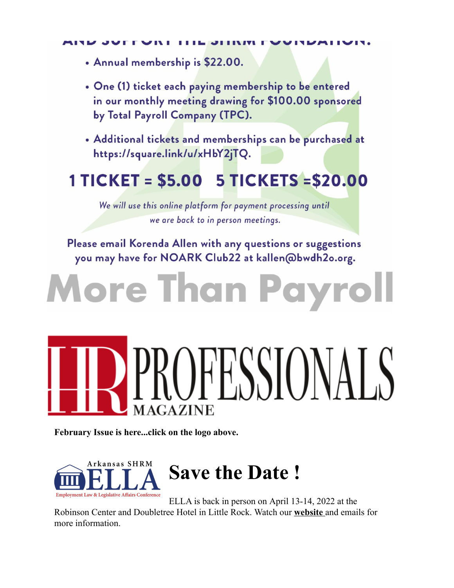- Annual membership is \$22.00.
- One (1) ticket each paying membership to be entered in our monthly meeting drawing for \$100.00 sponsored by Total Payroll Company (TPC).
- Additional tickets and memberships can be purchased at https://square.link/u/xHbY2jTQ.

# 1 TICKET = \$5.00 5 TICKETS = \$20.00

We will use this online platform for payment processing until we are back to in person meetings.

Please email Korenda Allen with any questions or suggestions you may have for NOARK Club22 at kallen@bwdh2o.org.

# **Iore Than Payro**

# )FESSIONAL **MAGAZINE**

**February Issue is here...click on the logo above.**



ELLA is back in person on April 13-14, 2022 at the Robinson Center and Doubletree Hotel in Little Rock. Watch our **[website](https://r20.rs6.net/tn.jsp?f=001I8r9bO46ReEbo0Qp8-psYZ580BACgc9lZgJXa2SDHZyrP7m5Cm3ZtnyU_8QPYc6yqDa0LG1OCCe18iq4B7imysoV-AJ8nUmSdjeLnJ-sry4O47daVzH64EfDN2QeLQiOKmn73XuxwOMl8nK3ZjSYWm7OZtpPrnVASEVFohEW6lIzm0tUyJMrhO7oLxK2xa6OrllNzXvVlnl44iKBQixdMRITNd-6Pi06Gc3o8jMiCiSwB1oSDKZhfg==&c=nRvT-4SuHyGK-v-OxRbxQSf0Dvj5umdOdjqouvUcat__VV_f9hGm_g==&ch=UV1MYkDJk3e_fAApVcXr7LC-47YD-aTpoPuK3DpKEjdYNSdqOiiLqg==)** and emails for more information.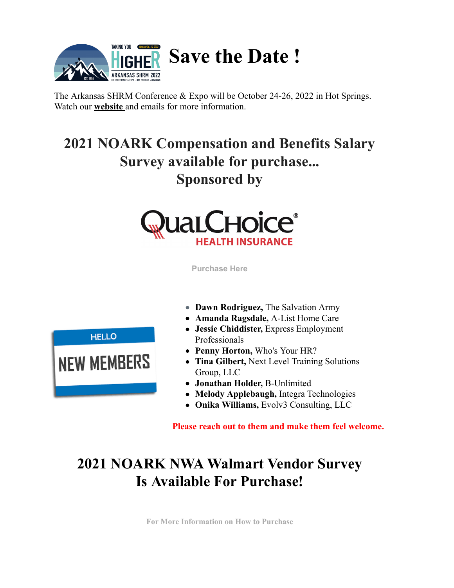

The Arkansas SHRM Conference & Expo will be October 24-26, 2022 in Hot Springs. Watch our **[website](https://r20.rs6.net/tn.jsp?f=001I8r9bO46ReEbo0Qp8-psYZ580BACgc9lZgJXa2SDHZyrP7m5Cm3ZtnyU_8QPYc6y7a3zrMW3-H7bmoEUyBB78bRm1t-357CEArYDQdbbwxRqQt5ZtKLo6ViMVqKxBwplHDUWj6lpwgfyyaQwStTrSLvjcn1PYNiES4UxZfnJJ6_lGzKLxK_7fqUOKfnX_m1ZBMDxcjlMNy_ZsA_eAkxbF75hzaXhIW1JJWxrXob0kdtfY7qOdJ7_rA==&c=nRvT-4SuHyGK-v-OxRbxQSf0Dvj5umdOdjqouvUcat__VV_f9hGm_g==&ch=UV1MYkDJk3e_fAApVcXr7LC-47YD-aTpoPuK3DpKEjdYNSdqOiiLqg==)** and emails for more information.

## **2021 NOARK Compensation and Benefits Salary Survey available for purchase... Sponsored by**



**[Purchase Here](https://r20.rs6.net/tn.jsp?f=001I8r9bO46ReEbo0Qp8-psYZ580BACgc9lZgJXa2SDHZyrP7m5Cm3ZttR7UI_vVShkCKC5d90TEFa5cwDJQunPozhg-RoD5jwuaN7fQK62aBD287NVB4-WXbHhkXfkxBQHC5oIbcqEu-KS3DDyqqyq1t5OzTU5QB_GhbYogAy0h3MsIw-WCqupW-1Cg3sFnVX2xDDb0E-9-zM=&c=nRvT-4SuHyGK-v-OxRbxQSf0Dvj5umdOdjqouvUcat__VV_f9hGm_g==&ch=UV1MYkDJk3e_fAApVcXr7LC-47YD-aTpoPuK3DpKEjdYNSdqOiiLqg==)**

- **Dawn Rodriguez,** The Salvation Army
- **Amanda Ragsdale,** A-List Home Care
- **Jessie Chiddister,** Express Employment Professionals
- **Penny Horton,** Who's Your HR?
- **Tina Gilbert,** Next Level Training Solutions Group, LLC
- **Jonathan Holder,** B-Unlimited
- **Melody Applebaugh,** Integra Technologies
- **Onika Williams,** Evolv3 Consulting, LLC

**Please reach out to them and make them feel welcome.**

## **2021 NOARK NWA Walmart Vendor Survey Is Available For Purchase!**

**[For More Information on How to Purchase](https://r20.rs6.net/tn.jsp?f=001I8r9bO46ReEbo0Qp8-psYZ580BACgc9lZgJXa2SDHZyrP7m5Cm3ZtkbveB5_6mrXWmkxjbNsmHGahrCxhLTFSt4cXZfQJjtHlWGokMrodkLJvi3jtOWz0tr512vgoXmOg6ZcS1jruu1MAFJYWxTIHhA4_FvjjXVqOCjRsBGRYYgCOBWcPandpf0IpQct_oly&c=nRvT-4SuHyGK-v-OxRbxQSf0Dvj5umdOdjqouvUcat__VV_f9hGm_g==&ch=UV1MYkDJk3e_fAApVcXr7LC-47YD-aTpoPuK3DpKEjdYNSdqOiiLqg==)**

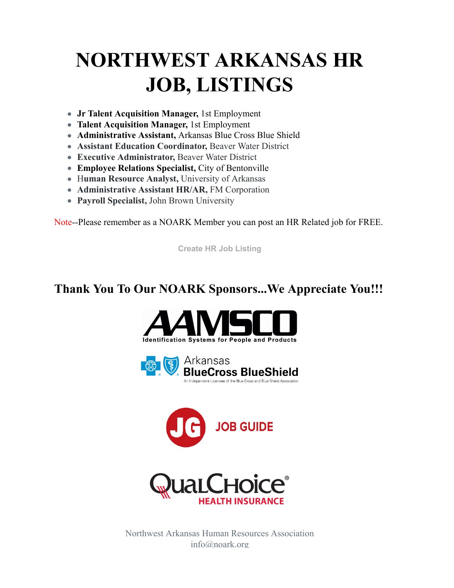# **NORTHWEST ARKANSAS HR JOB, LISTINGS**

- **Jr Talent Acquisition Manager,** 1st Employment
- **Talent Acquisition Manager,** 1st Employment
- **Administrative Assistant,** Arkansas Blue Cross Blue Shield
- **Assistant Education Coordinator,** Beaver Water District
- **Executive Administrator,** Beaver Water District
- **Employee Relations Specialist,** City of Bentonville
- H**uman Resource Analyst,** University of Arkansas
- **Administrative Assistant HR/AR,** FM Corporation
- **Payroll Specialist,** John Brown University

Note--Please remember as a NOARK Member you can post an HR Related job for FREE.

**[Create HR Job Listing](https://r20.rs6.net/tn.jsp?f=001I8r9bO46ReEbo0Qp8-psYZ580BACgc9lZgJXa2SDHZyrP7m5Cm3ZtgPen87O8Eazd-N0AHOXbkUEcHyMQjurw_DxkWaPvjRa6O6wSFCg4wGpvioDKndZcv-v5_n6bdvzK5s0MAQGHjgKJFnCyXuKl92nlcy6dSVJF_HirVQFDtAl5bnGb9ojWg==&c=nRvT-4SuHyGK-v-OxRbxQSf0Dvj5umdOdjqouvUcat__VV_f9hGm_g==&ch=UV1MYkDJk3e_fAApVcXr7LC-47YD-aTpoPuK3DpKEjdYNSdqOiiLqg==)**

## **Thank You To Our NOARK Sponsors...We Appreciate You!!!**









Northwest Arkansas Human Resources Association info@noark.org